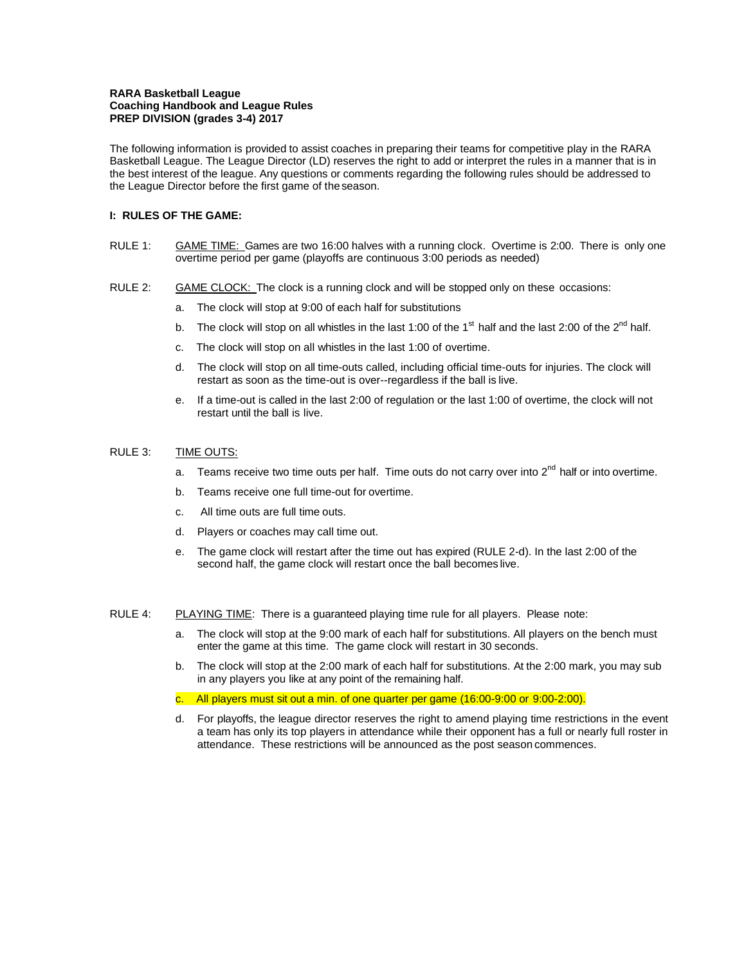## **RARA Basketball League Coaching Handbook and League Rules PREP DIVISION (grades 3-4) 2017**

The following information is provided to assist coaches in preparing their teams for competitive play in the RARA Basketball League. The League Director (LD) reserves the right to add or interpret the rules in a manner that is in the best interest of the league. Any questions or comments regarding the following rules should be addressed to the League Director before the first game of theseason.

## **I: RULES OF THE GAME:**

- RULE 1: GAME TIME: Games are two 16:00 halves with a running clock. Overtime is 2:00. There is only one overtime period per game (playoffs are continuous 3:00 periods as needed)
- RULE 2: GAME CLOCK: The clock is a running clock and will be stopped only on these occasions:
	- a. The clock will stop at 9:00 of each half for substitutions
	- b. The clock will stop on all whistles in the last 1:00 of the 1<sup>st</sup> half and the last 2:00 of the 2<sup>nd</sup> half.
	- c. The clock will stop on all whistles in the last 1:00 of overtime.
	- d. The clock will stop on all time-outs called, including official time-outs for injuries. The clock will restart as soon as the time-out is over--regardless if the ball is live.
	- e. If a time-out is called in the last 2:00 of regulation or the last 1:00 of overtime, the clock will not restart until the ball is live.

## RULE 3: TIME OUTS:

- Teams receive two time outs per half. Time outs do not carry over into 2<sup>nd</sup> half or into overtime.
- b. Teams receive one full time-out for overtime.
- c. All time outs are full time outs.
- d. Players or coaches may call time out.
- e. The game clock will restart after the time out has expired (RULE 2-d). In the last 2:00 of the second half, the game clock will restart once the ball becomes live.

#### RULE 4: PLAYING TIME: There is a guaranteed playing time rule for all players. Please note:

- a. The clock will stop at the 9:00 mark of each half for substitutions. All players on the bench must enter the game at this time. The game clock will restart in 30 seconds.
- b. The clock will stop at the 2:00 mark of each half for substitutions. At the 2:00 mark, you may sub in any players you like at any point of the remaining half.
- c. All players must sit out a min. of one quarter per game (16:00-9:00 or 9:00-2:00).
- d. For playoffs, the league director reserves the right to amend playing time restrictions in the event a team has only its top players in attendance while their opponent has a full or nearly full roster in attendance. These restrictions will be announced as the post season commences.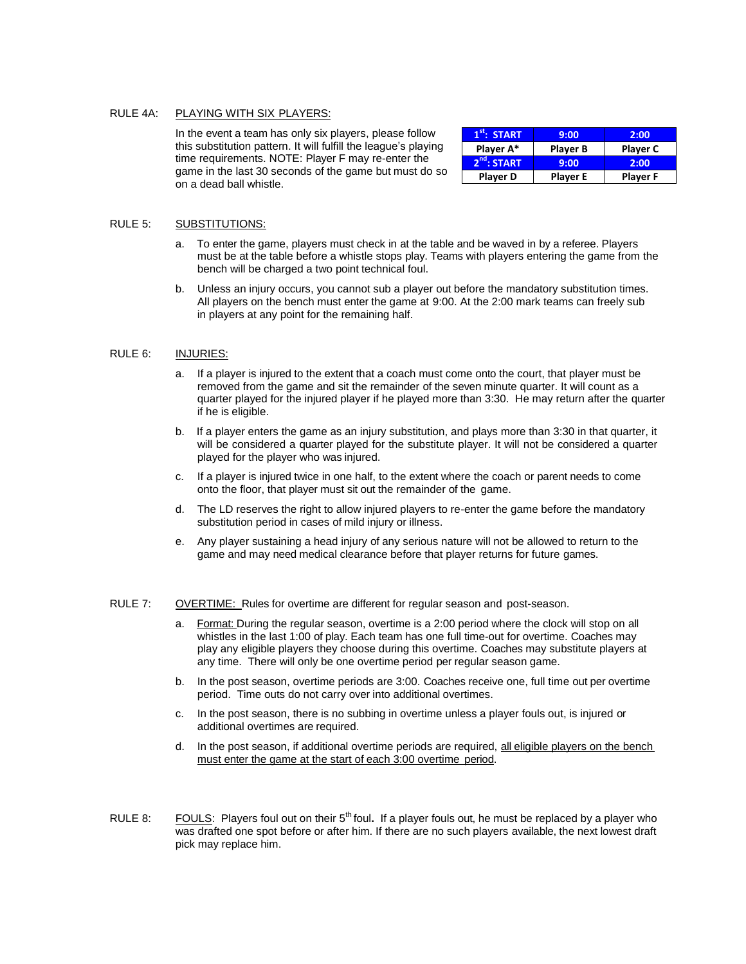## RULE 4A: PLAYING WITH SIX PLAYERS:

In the event a team has only six players, please follow this substitution pattern. It will fulfill the league's playing time requirements. NOTE: Player F may re-enter the game in the last 30 seconds of the game but must do so on a dead ball whistle.

| $1st$ : START           | 9:00            | 2:00            |
|-------------------------|-----------------|-----------------|
| Player A*               | <b>Player B</b> | <b>Player C</b> |
| 2 <sup>nd</sup> : START | 9:00            | 2:00            |
| <b>Player D</b>         | <b>Player E</b> | <b>Player F</b> |

## RULE 5: SUBSTITUTIONS:

- To enter the game, players must check in at the table and be waved in by a referee. Players must be at the table before a whistle stops play. Teams with players entering the game from the bench will be charged a two point technical foul.
- b. Unless an injury occurs, you cannot sub a player out before the mandatory substitution times. All players on the bench must enter the game at 9:00. At the 2:00 mark teams can freely sub in players at any point for the remaining half.

## RULE 6: INJURIES:

- a. If a player is injured to the extent that a coach must come onto the court, that player must be removed from the game and sit the remainder of the seven minute quarter. It will count as a quarter played for the injured player if he played more than 3:30. He may return after the quarter if he is eligible.
- b. If a player enters the game as an injury substitution, and plays more than 3:30 in that quarter, it will be considered a quarter played for the substitute player. It will not be considered a quarter played for the player who was injured.
- c. If a player is injured twice in one half, to the extent where the coach or parent needs to come onto the floor, that player must sit out the remainder of the game.
- d. The LD reserves the right to allow injured players to re-enter the game before the mandatory substitution period in cases of mild injury or illness.
- e. Any player sustaining a head injury of any serious nature will not be allowed to return to the game and may need medical clearance before that player returns for future games.

#### RULE 7: OVERTIME: Rules for overtime are different for regular season and post-season.

- a. Format: During the regular season, overtime is a 2:00 period where the clock will stop on all whistles in the last 1:00 of play. Each team has one full time-out for overtime. Coaches may play any eligible players they choose during this overtime. Coaches may substitute players at any time. There will only be one overtime period per regular season game.
- b. In the post season, overtime periods are 3:00. Coaches receive one, full time out per overtime period. Time outs do not carry over into additional overtimes.
- c. In the post season, there is no subbing in overtime unless a player fouls out, is injured or additional overtimes are required.
- d. In the post season, if additional overtime periods are required, all eligible players on the bench must enter the game at the start of each 3:00 overtime period.
- RULE 8: FOULS: Players foul out on their 5<sup>th</sup> foul. If a player fouls out, he must be replaced by a player who was drafted one spot before or after him. If there are no such players available, the next lowest draft pick may replace him.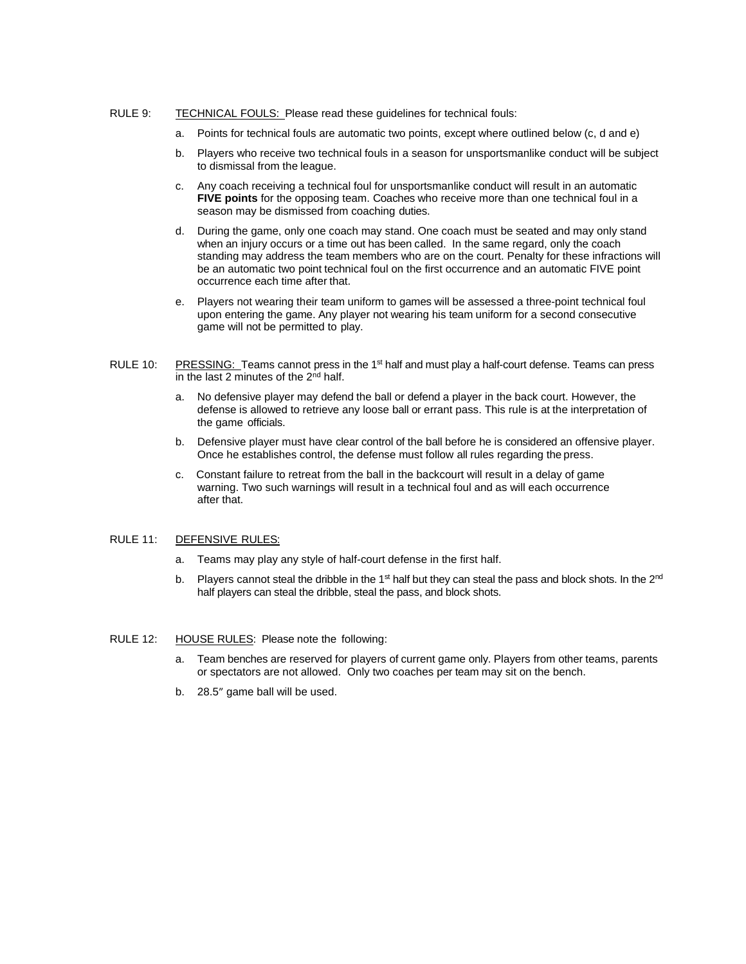## RULE 9: TECHNICAL FOULS: Please read these guidelines for technical fouls:

- a. Points for technical fouls are automatic two points, except where outlined below (c, d and e)
- b. Players who receive two technical fouls in a season for unsportsmanlike conduct will be subject to dismissal from the league.
- c. Any coach receiving a technical foul for unsportsmanlike conduct will result in an automatic **FIVE points** for the opposing team. Coaches who receive more than one technical foul in a season may be dismissed from coaching duties.
- d. During the game, only one coach may stand. One coach must be seated and may only stand when an injury occurs or a time out has been called. In the same regard, only the coach standing may address the team members who are on the court. Penalty for these infractions will be an automatic two point technical foul on the first occurrence and an automatic FIVE point occurrence each time after that.
- e. Players not wearing their team uniform to games will be assessed a three-point technical foul upon entering the game. Any player not wearing his team uniform for a second consecutive game will not be permitted to play.
- RULE 10: PRESSING: Teams cannot press in the 1<sup>st</sup> half and must play a half-court defense. Teams can press in the last 2 minutes of the  $2<sup>nd</sup>$  half.
	- a. No defensive player may defend the ball or defend a player in the back court. However, the defense is allowed to retrieve any loose ball or errant pass. This rule is at the interpretation of the game officials.
	- b. Defensive player must have clear control of the ball before he is considered an offensive player. Once he establishes control, the defense must follow all rules regarding the press.
	- c. Constant failure to retreat from the ball in the backcourt will result in a delay of game warning. Two such warnings will result in a technical foul and as will each occurrence after that.

### RULE 11: DEFENSIVE RULES:

- a. Teams may play any style of half-court defense in the first half.
- b. Players cannot steal the dribble in the 1<sup>st</sup> half but they can steal the pass and block shots. In the 2<sup>nd</sup> half players can steal the dribble, steal the pass, and block shots.

#### RULE 12: HOUSE RULES: Please note the following:

- a. Team benches are reserved for players of current game only. Players from other teams, parents or spectators are not allowed. Only two coaches per team may sit on the bench.
- b. 28.5" game ball will be used.